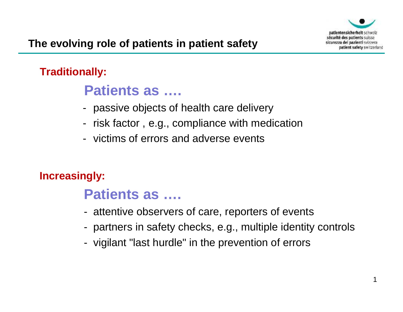

## **Traditionally:**

# **Patients as ….**

- passive objects of health care delivery
- risk factor , e.g., compliance with medication
- victims of errors and adverse events

## **Increasingly:**

## **Patients as ….**

- attentive observers of care, reporters of events
- partners in safety checks, e.g., multiple identity controls
- vigilant "last hurdle" in the prevention of errors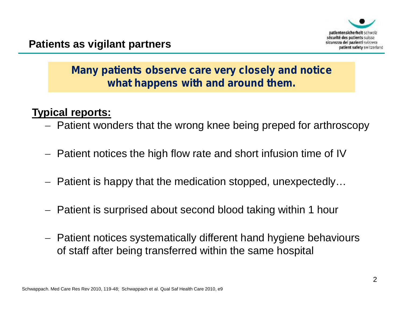

### *Many patients observe care very closely and notice what happens with and around them.*

#### **Typical reports:**

- Patient wonders that the wrong knee being preped for arthroscopy
- Patient notices the high flow rate and short infusion time of IV
- Patient is happy that the medication stopped, unexpectedly...
- Patient is surprised about second blood taking within 1 hour
- Patient notices systematically different hand hygiene behaviours of staff after being transferred within the same hospital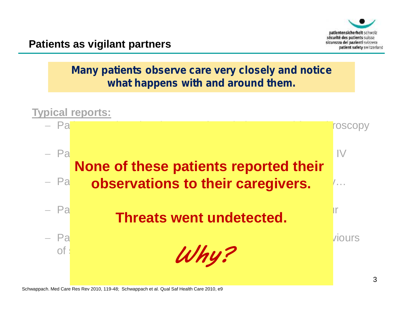

**Patients as vigilant partners**

#### *Many patients observe care very closely and notice what happens with and around them.*



Schwappach. Med Care Res Rev 2010, 119-48; Schwappach et al. Qual Saf Health Care 2010, e9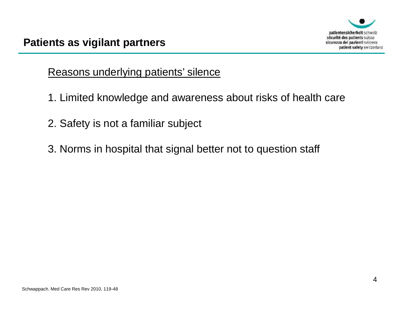#### Reasons underlying patients' silence

- 1. Limited knowledge and awareness about risks of health care
- 2. Safety is not a familiar subject
- 3. Norms in hospital that signal better not to question staff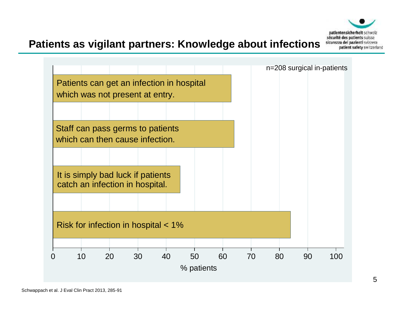

#### **Patients as vigilant partners: Knowledge about infections**

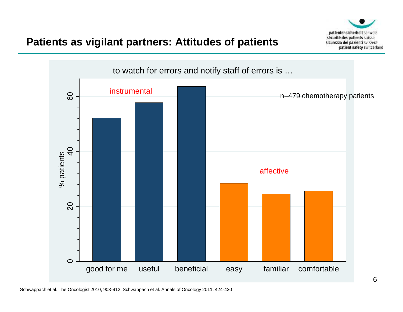

#### **Patients as vigilant partners: Attitudes of patients**

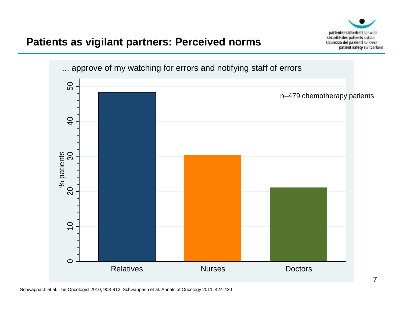

#### **Patients as vigilant partners: Perceived norms**

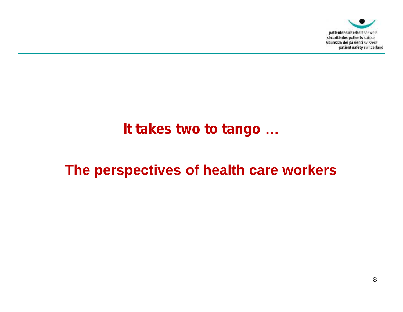

## *It takes two to tango* **…**

# **The perspectives of health care workers**